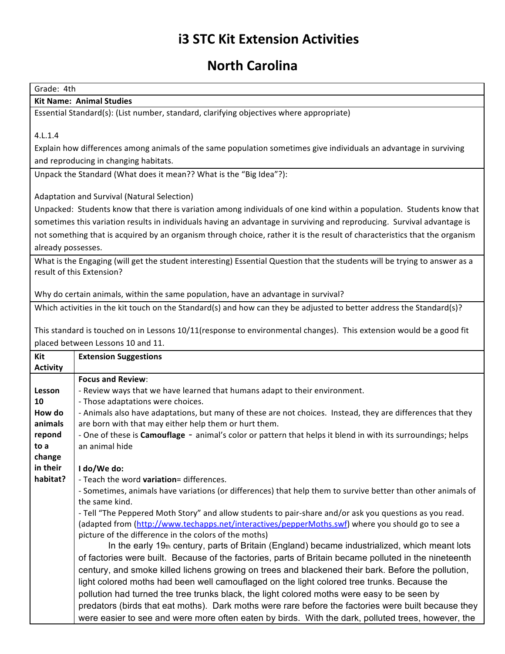## **i3 STC Kit Extension Activities**

## **North Carolina**

Grade: 4th

## **Kit Name: Animal Studies**

Essential Standard(s): (List number, standard, clarifying objectives where appropriate)

4.L.1.4

Explain how differences among animals of the same population sometimes give individuals an advantage in surviving and reproducing in changing habitats.

Unpack the Standard (What does it mean?? What is the "Big Idea"?):

Adaptation and Survival (Natural Selection)

Unpacked: Students know that there is variation among individuals of one kind within a population. Students know that sometimes this variation results in individuals having an advantage in surviving and reproducing. Survival advantage is not something that is acquired by an organism through choice, rather it is the result of characteristics that the organism already possesses.

What is the Engaging (will get the student interesting) Essential Question that the students will be trying to answer as a result of this Extension?

Why do certain animals, within the same population, have an advantage in survival?

Which activities in the kit touch on the Standard(s) and how can they be adjusted to better address the Standard(s)?

This standard is touched on in Lessons 10/11(response to environmental changes). This extension would be a good fit placed between Lessons 10 and 11.

| Kit             | <b>Extension Suggestions</b>                                                                                 |
|-----------------|--------------------------------------------------------------------------------------------------------------|
| <b>Activity</b> |                                                                                                              |
|                 | <b>Focus and Review:</b>                                                                                     |
| Lesson          | - Review ways that we have learned that humans adapt to their environment.                                   |
| 10              | - Those adaptations were choices.                                                                            |
| How do          | - Animals also have adaptations, but many of these are not choices. Instead, they are differences that they  |
| animals         | are born with that may either help them or hurt them.                                                        |
| repond          | - One of these is Camouflage - animal's color or pattern that helps it blend in with its surroundings; helps |
| to a            | an animal hide                                                                                               |
| change          |                                                                                                              |
| in their        | I do/We do:                                                                                                  |
| habitat?        | - Teach the word variation= differences.                                                                     |
|                 | - Sometimes, animals have variations (or differences) that help them to survive better than other animals of |
|                 | the same kind.                                                                                               |
|                 | - Tell "The Peppered Moth Story" and allow students to pair-share and/or ask you questions as you read.      |
|                 | (adapted from (http://www.techapps.net/interactives/pepperMoths.swf) where you should go to see a            |
|                 | picture of the difference in the colors of the moths)                                                        |
|                 | In the early 19th century, parts of Britain (England) became industrialized, which meant lots                |
|                 | of factories were built. Because of the factories, parts of Britain became polluted in the nineteenth        |
|                 | century, and smoke killed lichens growing on trees and blackened their bark. Before the pollution,           |
|                 | light colored moths had been well camouflaged on the light colored tree trunks. Because the                  |
|                 | pollution had turned the tree trunks black, the light colored moths were easy to be seen by                  |
|                 | predators (birds that eat moths). Dark moths were rare before the factories were built because they          |
|                 | were easier to see and were more often eaten by birds. With the dark, polluted trees, however, the           |